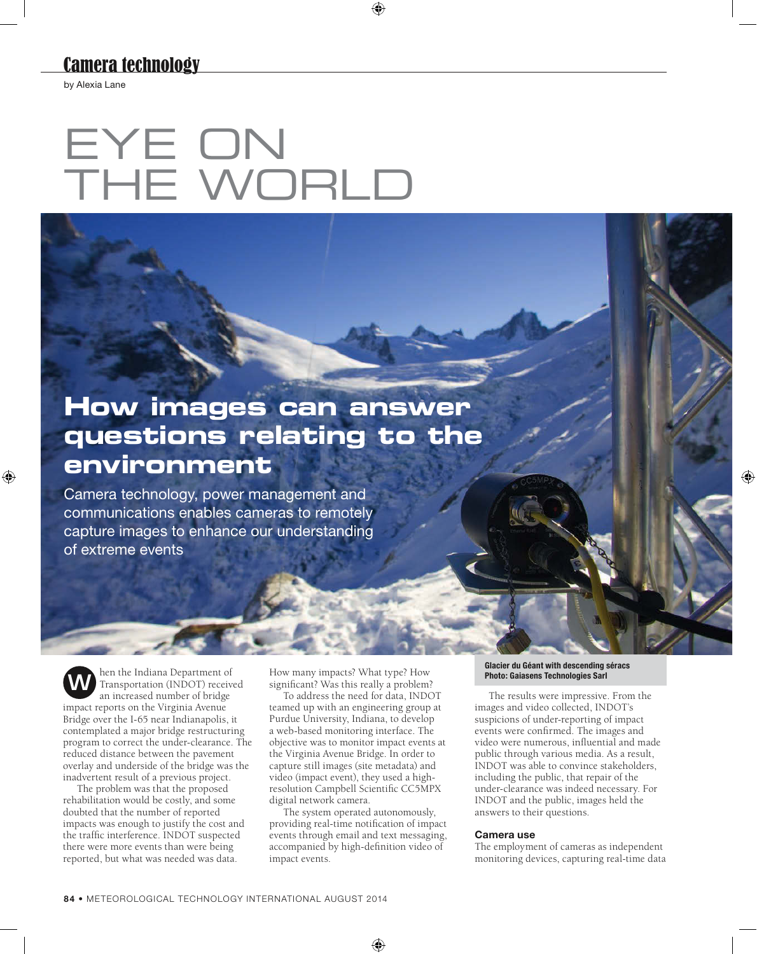## Camera technology

by Alexia Lane

# EYE ON THE WORLD

# **How images can answer questions relating to the environment**

Camera technology, power management and communications enables cameras to remotely capture images to enhance our understanding of extreme events

**M** hen the Indiana Department of Transportation (INDOT) received an increased number of bridge impact reports on the Virginia Avenue Bridge over the I-65 near Indianapolis, it contemplated a major bridge restructuring program to correct the under-clearance. The reduced distance between the pavement overlay and underside of the bridge was the inadvertent result of a previous project.

The problem was that the proposed rehabilitation would be costly, and some doubted that the number of reported impacts was enough to justify the cost and the traffic interference. INDOT suspected there were more events than were being reported, but what was needed was data.

How many impacts? What type? How significant? Was this really a problem?

To address the need for data, INDOT teamed up with an engineering group at Purdue University, Indiana, to develop a web-based monitoring interface. The objective was to monitor impact events at the Virginia Avenue Bridge. In order to capture still images (site metadata) and video (impact event), they used a highresolution Campbell Scientific CC5MPX digital network camera.

The system operated autonomously, providing real-time notification of impact events through email and text messaging, accompanied by high-definition video of impact events.

#### **Glacier du Géant with descending séracs Photo: Gaiasens Technologies Sarl**

The results were impressive. From the images and video collected, INDOT's suspicions of under-reporting of impact events were confirmed. The images and video were numerous, influential and made public through various media. As a result, INDOT was able to convince stakeholders, including the public, that repair of the under-clearance was indeed necessary. For INDOT and the public, images held the answers to their questions.

#### **Camera use**

The employment of cameras as independent monitoring devices, capturing real-time data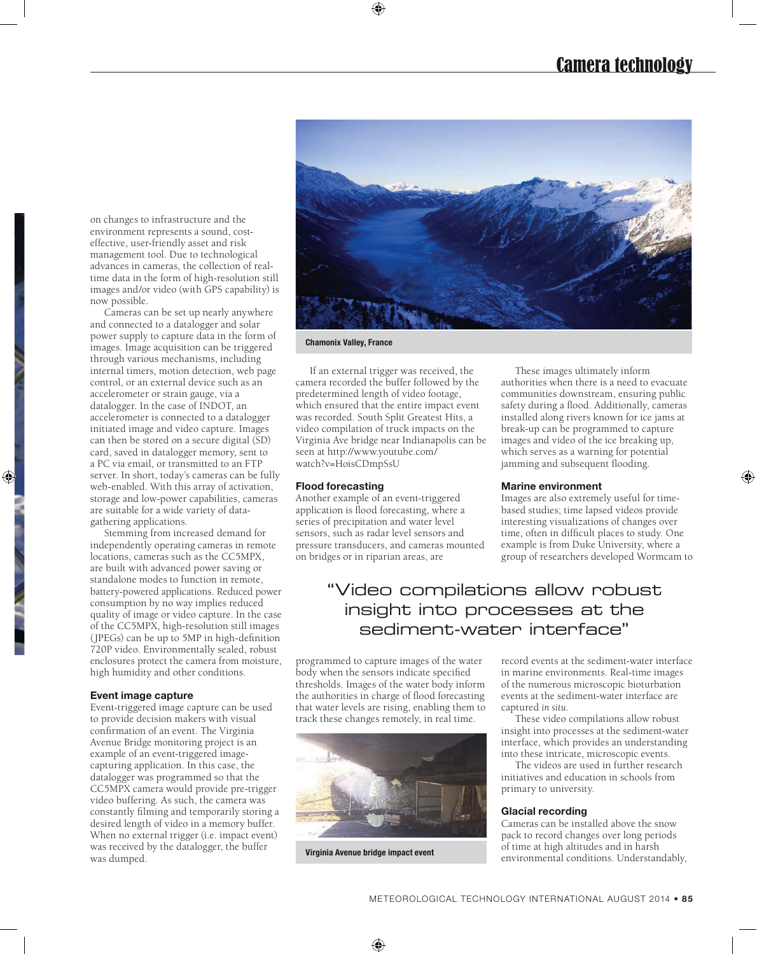on changes to infrastructure and the environment represents a sound, costeffective, user-friendly asset and risk management tool. Due to technological advances in cameras, the collection of realtime data in the form of high-resolution still images and/or video (with GPS capability) is now possible.

Cameras can be set up nearly anywhere and connected to a datalogger and solar power supply to capture data in the form of images. Image acquisition can be triggered through various mechanisms, including internal timers, motion detection, web page control, or an external device such as an accelerometer or strain gauge, via a datalogger. In the case of INDOT, an accelerometer is connected to a datalogger initiated image and video capture. Images can then be stored on a secure digital (SD) card, saved in datalogger memory, sent to a PC via email, or transmitted to an FTP server. In short, today's cameras can be fully web-enabled. With this array of activation, storage and low-power capabilities, cameras are suitable for a wide variety of datagathering applications.

Stemming from increased demand for independently operating cameras in remote locations, cameras such as the CC5MPX, are built with advanced power saving or standalone modes to function in remote, battery-powered applications. Reduced power consumption by no way implies reduced quality of image or video capture. In the case of the CC5MPX, high-resolution still images (JPEGs) can be up to 5MP in high-definition 720P video. Environmentally sealed, robust enclosures protect the camera from moisture, high humidity and other conditions.

#### **Event image capture**

Event-triggered image capture can be used to provide decision makers with visual confirmation of an event. The Virginia Avenue Bridge monitoring project is an example of an event-triggered imagecapturing application. In this case, the datalogger was programmed so that the CC5MPX camera would provide pre-trigger video buffering. As such, the camera was constantly filming and temporarily storing a desired length of video in a memory buffer. When no external trigger (i.e. impact event) was received by the datalogger, the buffer was dumped.



**Chamonix Valley, France**

If an external trigger was received, the camera recorded the buffer followed by the predetermined length of video footage, which ensured that the entire impact event was recorded. South Split Greatest Hits, a video compilation of truck impacts on the Virginia Ave bridge near Indianapolis can be seen at<http://www.youtube.com/> watch?v=HoisCDmpSsU

#### **Flood forecasting**

Another example of an event-triggered application is flood forecasting, where a series of precipitation and water level sensors, such as radar level sensors and pressure transducers, and cameras mounted on bridges or in riparian areas, are

These images ultimately inform authorities when there is a need to evacuate communities downstream, ensuring public safety during a flood. Additionally, cameras installed along rivers known for ice jams at break-up can be programmed to capture images and video of the ice breaking up, which serves as a warning for potential jamming and subsequent flooding.

#### **Marine environment**

Images are also extremely useful for timebased studies; time lapsed videos provide interesting visualizations of changes over time, often in difficult places to study. One example is from Duke University, where a group of researchers developed Wormcam to

### "Video compilations allow robust insight into processes at the sediment-water interface"

programmed to capture images of the water body when the sensors indicate specified thresholds. Images of the water body inform the authorities in charge of flood forecasting that water levels are rising, enabling them to track these changes remotely, in real time.



**Virginia Avenue bridge impact event**

record events at the sediment-water interface in marine environments. Real-time images of the numerous microscopic bioturbation events at the sediment-water interface are captured *in situ*.

These video compilations allow robust insight into processes at the sediment-water interface, which provides an understanding into these intricate, microscopic events.

The videos are used in further research initiatives and education in schools from primary to university.

#### **Glacial recording**

Cameras can be installed above the snow pack to record changes over long periods of time at high altitudes and in harsh environmental conditions. Understandably,